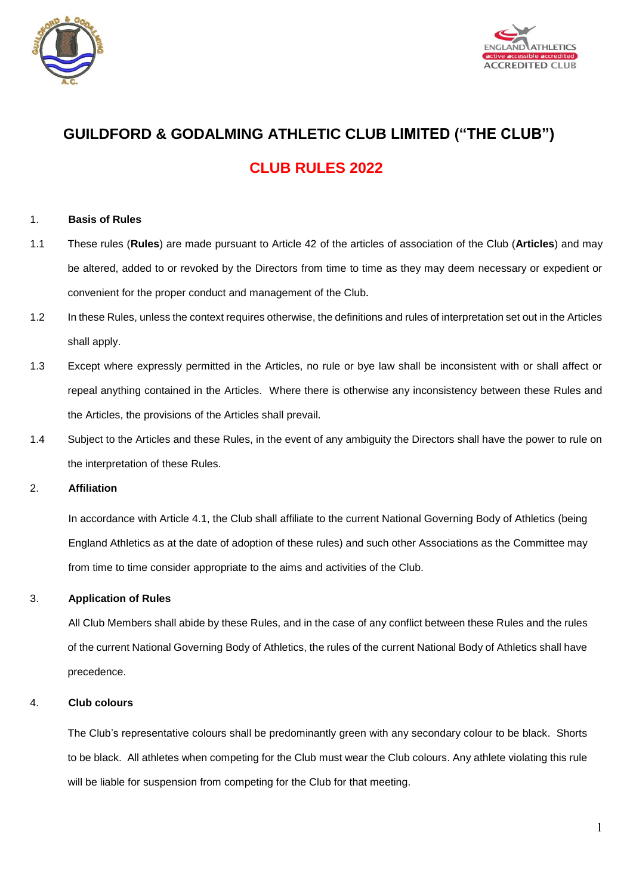



# **GUILDFORD & GODALMING ATHLETIC CLUB LIMITED ("THE CLUB") CLUB RULES 2022**

#### 1. **Basis of Rules**

- 1.1 These rules (**Rules**) are made pursuant to Article 42 of the articles of association of the Club (**Articles**) and may be altered, added to or revoked by the Directors from time to time as they may deem necessary or expedient or convenient for the proper conduct and management of the Club**.**
- 1.2 In these Rules, unless the context requires otherwise, the definitions and rules of interpretation set out in the Articles shall apply.
- 1.3 Except where expressly permitted in the Articles, no rule or bye law shall be inconsistent with or shall affect or repeal anything contained in the Articles.Where there is otherwise any inconsistency between these Rules and the Articles, the provisions of the Articles shall prevail.
- 1.4 Subject to the Articles and these Rules, in the event of any ambiguity the Directors shall have the power to rule on the interpretation of these Rules.

#### 2. **Affiliation**

In accordance with Article 4.1, the Club shall affiliate to the current National Governing Body of Athletics (being England Athletics as at the date of adoption of these rules) and such other Associations as the Committee may from time to time consider appropriate to the aims and activities of the Club.

## 3. **Application of Rules**

All Club Members shall abide by these Rules, and in the case of any conflict between these Rules and the rules of the current National Governing Body of Athletics, the rules of the current National Body of Athletics shall have precedence.

#### 4. **Club colours**

The Club's representative colours shall be predominantly green with any secondary colour to be black. Shorts to be black. All athletes when competing for the Club must wear the Club colours. Any athlete violating this rule will be liable for suspension from competing for the Club for that meeting.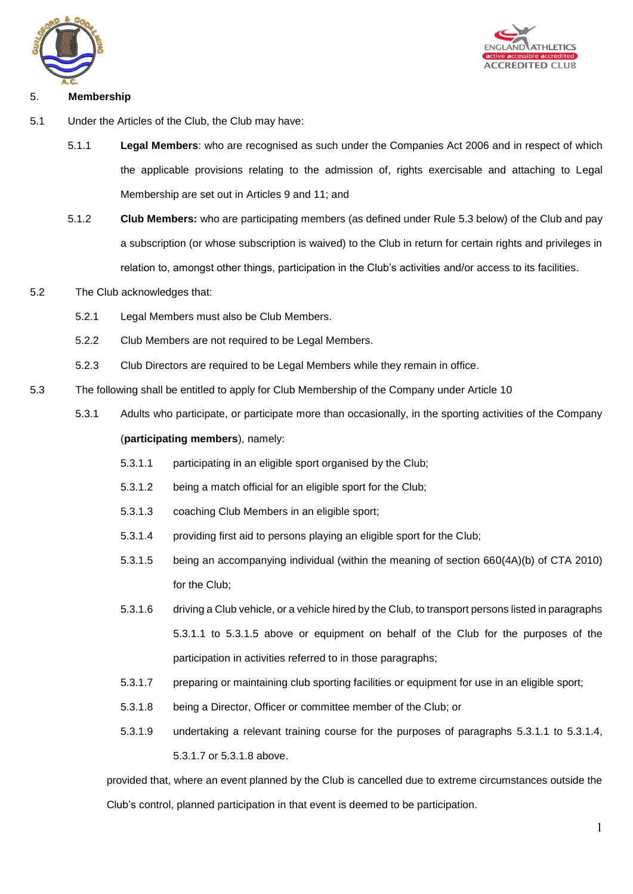



## 5. **Membership**

- 5.1 Under the Articles of the Club, the Club may have:
	- 5.1.1 **Legal Members**: who are recognised as such under the Companies Act 2006 and in respect of which the applicable provisions relating to the admission of, rights exercisable and attaching to Legal Membership are set out in Articles 9 and 11; and
	- 5.1.2 **Club Members:** who are participating members (as defined under Rule 5.3 below) of the Club and pay a subscription (or whose subscription is waived) to the Club in return for certain rights and privileges in relation to, amongst other things, participation in the Club's activities and/or access to its facilities.
- 5.2 The Club acknowledges that:
	- 5.2.1 Legal Members must also be Club Members.
	- 5.2.2 Club Members are not required to be Legal Members.
	- 5.2.3 Club Directors are required to be Legal Members while they remain in office.
- 5.3 The following shall be entitled to apply for Club Membership of the Company under Article 10
	- 5.3.1 Adults who participate, or participate more than occasionally, in the sporting activities of the Company (**participating members**), namely:
		- 5.3.1.1 participating in an eligible sport organised by the Club;
		- 5.3.1.2 being a match official for an eligible sport for the Club;
		- 5.3.1.3 coaching Club Members in an eligible sport;
		- 5.3.1.4 providing first aid to persons playing an eligible sport for the Club;
		- 5.3.1.5 being an accompanying individual (within the meaning of section 660(4A)(b) of CTA 2010) for the Club;
		- 5.3.1.6 driving a Club vehicle, or a vehicle hired by the Club, to transport persons listed in paragraphs 5.3.1.1 to 5.3.1.5 above or equipment on behalf of the Club for the purposes of the participation in activities referred to in those paragraphs;
		- 5.3.1.7 preparing or maintaining club sporting facilities or equipment for use in an eligible sport;
		- 5.3.1.8 being a Director, Officer or committee member of the Club; or
		- 5.3.1.9 undertaking a relevant training course for the purposes of paragraphs 5.3.1.1 to 5.3.1.4, 5.3.1.7 or 5.3.1.8 above.

provided that, where an event planned by the Club is cancelled due to extreme circumstances outside the Club's control, planned participation in that event is deemed to be participation.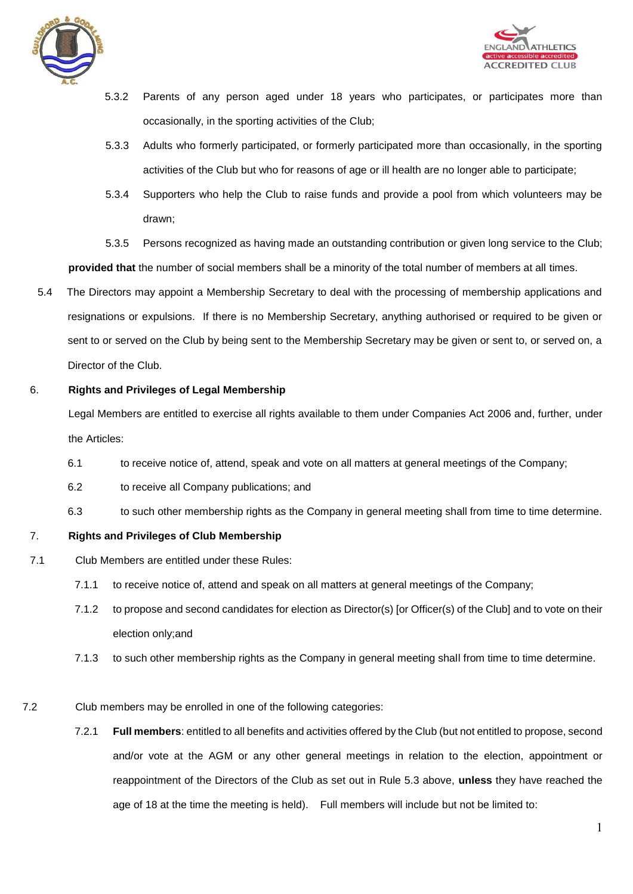



- 5.3.2 Parents of any person aged under 18 years who participates, or participates more than occasionally, in the sporting activities of the Club;
- 5.3.3 Adults who formerly participated, or formerly participated more than occasionally, in the sporting activities of the Club but who for reasons of age or ill health are no longer able to participate;
- 5.3.4 Supporters who help the Club to raise funds and provide a pool from which volunteers may be drawn;

5.3.5 Persons recognized as having made an outstanding contribution or given long service to the Club; **provided that** the number of social members shall be a minority of the total number of members at all times.

5.4 The Directors may appoint a Membership Secretary to deal with the processing of membership applications and resignations or expulsions. If there is no Membership Secretary, anything authorised or required to be given or sent to or served on the Club by being sent to the Membership Secretary may be given or sent to, or served on, a Director of the Club.

## 6. **Rights and Privileges of Legal Membership**

Legal Members are entitled to exercise all rights available to them under Companies Act 2006 and, further, under the Articles:

- 6.1 to receive notice of, attend, speak and vote on all matters at general meetings of the Company;
- 6.2 to receive all Company publications; and
- 6.3 to such other membership rights as the Company in general meeting shall from time to time determine.

## 7. **Rights and Privileges of Club Membership**

- 7.1 Club Members are entitled under these Rules:
	- 7.1.1 to receive notice of, attend and speak on all matters at general meetings of the Company;
	- 7.1.2 to propose and second candidates for election as Director(s) [or Officer(s) of the Club] and to vote on their election only;and
	- 7.1.3 to such other membership rights as the Company in general meeting shall from time to time determine.
- 7.2 Club members may be enrolled in one of the following categories:
	- 7.2.1 **Full members**: entitled to all benefits and activities offered by the Club (but not entitled to propose, second and/or vote at the AGM or any other general meetings in relation to the election, appointment or reappointment of the Directors of the Club as set out in Rule 5.3 above, **unless** they have reached the age of 18 at the time the meeting is held). Full members will include but not be limited to: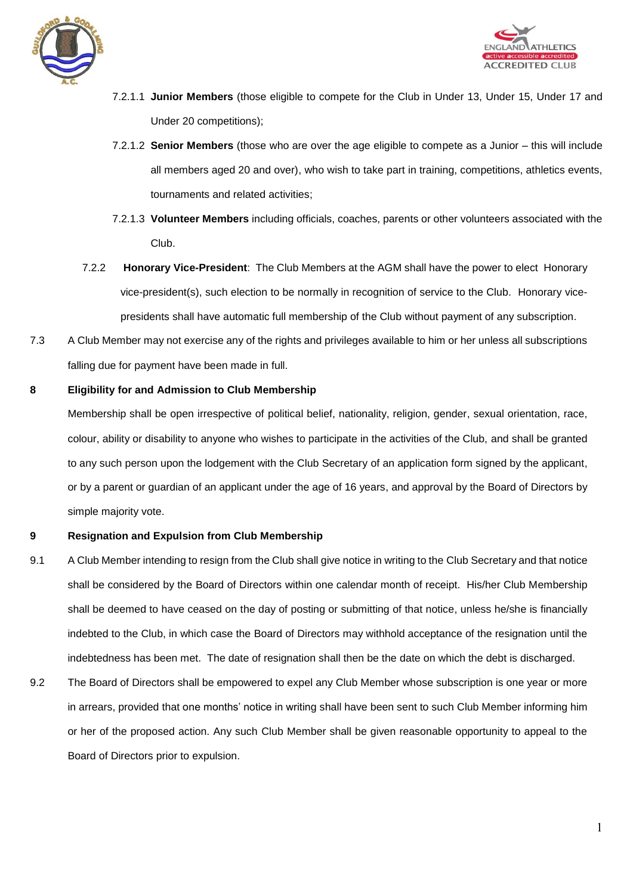



- 7.2.1.1 **Junior Members** (those eligible to compete for the Club in Under 13, Under 15, Under 17 and Under 20 competitions);
- 7.2.1.2 **Senior Members** (those who are over the age eligible to compete as a Junior this will include all members aged 20 and over), who wish to take part in training, competitions, athletics events, tournaments and related activities;
- 7.2.1.3 **Volunteer Members** including officials, coaches, parents or other volunteers associated with the Club.
- 7.2.2 **Honorary Vice-President**: The Club Members at the AGM shall have the power to elect Honorary vice-president(s), such election to be normally in recognition of service to the Club. Honorary vicepresidents shall have automatic full membership of the Club without payment of any subscription.
- 7.3 A Club Member may not exercise any of the rights and privileges available to him or her unless all subscriptions falling due for payment have been made in full.

## **8 Eligibility for and Admission to Club Membership**

Membership shall be open irrespective of political belief, nationality, religion, gender, sexual orientation, race, colour, ability or disability to anyone who wishes to participate in the activities of the Club, and shall be granted to any such person upon the lodgement with the Club Secretary of an application form signed by the applicant, or by a parent or guardian of an applicant under the age of 16 years, and approval by the Board of Directors by simple majority vote.

## **9 Resignation and Expulsion from Club Membership**

- 9.1 A Club Member intending to resign from the Club shall give notice in writing to the Club Secretary and that notice shall be considered by the Board of Directors within one calendar month of receipt. His/her Club Membership shall be deemed to have ceased on the day of posting or submitting of that notice, unless he/she is financially indebted to the Club, in which case the Board of Directors may withhold acceptance of the resignation until the indebtedness has been met. The date of resignation shall then be the date on which the debt is discharged.
- 9.2 The Board of Directors shall be empowered to expel any Club Member whose subscription is one year or more in arrears, provided that one months' notice in writing shall have been sent to such Club Member informing him or her of the proposed action. Any such Club Member shall be given reasonable opportunity to appeal to the Board of Directors prior to expulsion.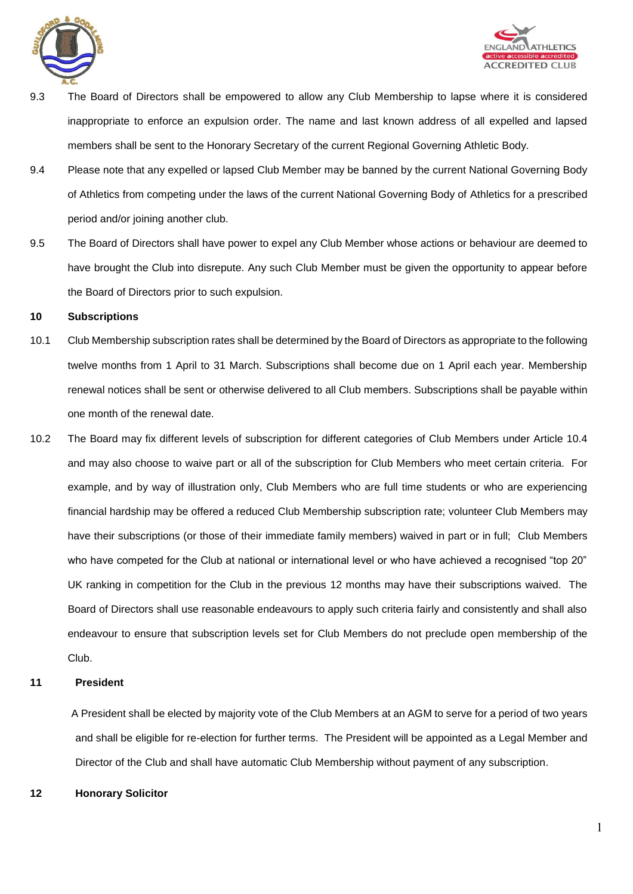



- 9.3 The Board of Directors shall be empowered to allow any Club Membership to lapse where it is considered inappropriate to enforce an expulsion order. The name and last known address of all expelled and lapsed members shall be sent to the Honorary Secretary of the current Regional Governing Athletic Body.
- 9.4 Please note that any expelled or lapsed Club Member may be banned by the current National Governing Body of Athletics from competing under the laws of the current National Governing Body of Athletics for a prescribed period and/or joining another club.
- 9.5 The Board of Directors shall have power to expel any Club Member whose actions or behaviour are deemed to have brought the Club into disrepute. Any such Club Member must be given the opportunity to appear before the Board of Directors prior to such expulsion.

#### **10 Subscriptions**

- 10.1 Club Membership subscription rates shall be determined by the Board of Directors as appropriate to the following twelve months from 1 April to 31 March. Subscriptions shall become due on 1 April each year. Membership renewal notices shall be sent or otherwise delivered to all Club members. Subscriptions shall be payable within one month of the renewal date.
- 10.2 The Board may fix different levels of subscription for different categories of Club Members under Article 10.4 and may also choose to waive part or all of the subscription for Club Members who meet certain criteria. For example, and by way of illustration only, Club Members who are full time students or who are experiencing financial hardship may be offered a reduced Club Membership subscription rate; volunteer Club Members may have their subscriptions (or those of their immediate family members) waived in part or in full; Club Members who have competed for the Club at national or international level or who have achieved a recognised "top 20" UK ranking in competition for the Club in the previous 12 months may have their subscriptions waived. The Board of Directors shall use reasonable endeavours to apply such criteria fairly and consistently and shall also endeavour to ensure that subscription levels set for Club Members do not preclude open membership of the Club.

#### **11 President**

A President shall be elected by majority vote of the Club Members at an AGM to serve for a period of two years and shall be eligible for re-election for further terms. The President will be appointed as a Legal Member and Director of the Club and shall have automatic Club Membership without payment of any subscription.

#### **12 Honorary Solicitor**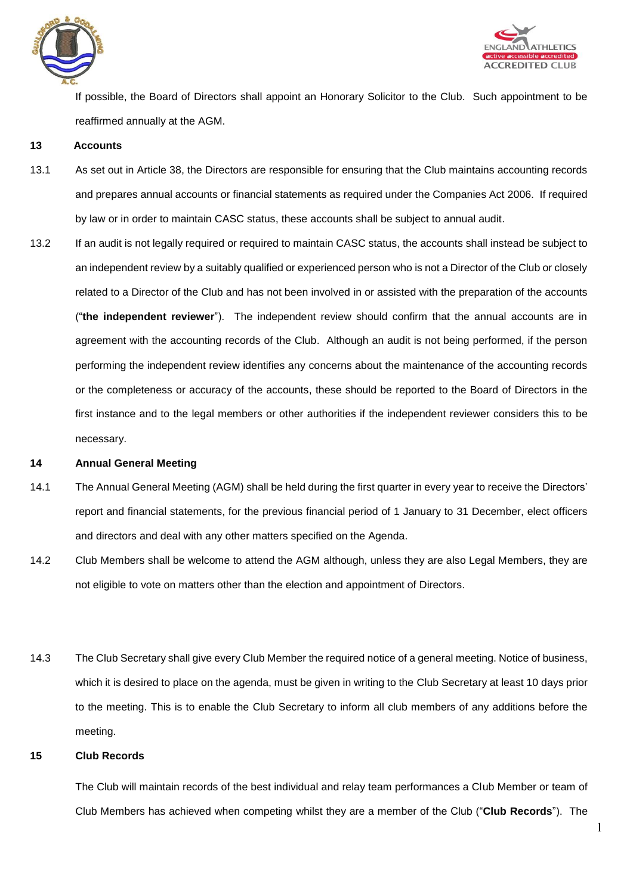



If possible, the Board of Directors shall appoint an Honorary Solicitor to the Club. Such appointment to be reaffirmed annually at the AGM.

#### **13 Accounts**

- 13.1 As set out in Article 38, the Directors are responsible for ensuring that the Club maintains accounting records and prepares annual accounts or financial statements as required under the Companies Act 2006. If required by law or in order to maintain CASC status, these accounts shall be subject to annual audit.
- 13.2 If an audit is not legally required or required to maintain CASC status, the accounts shall instead be subject to an independent review by a suitably qualified or experienced person who is not a Director of the Club or closely related to a Director of the Club and has not been involved in or assisted with the preparation of the accounts ("**the independent reviewer**"). The independent review should confirm that the annual accounts are in agreement with the accounting records of the Club. Although an audit is not being performed, if the person performing the independent review identifies any concerns about the maintenance of the accounting records or the completeness or accuracy of the accounts, these should be reported to the Board of Directors in the first instance and to the legal members or other authorities if the independent reviewer considers this to be necessary.

#### **14 Annual General Meeting**

- 14.1 The Annual General Meeting (AGM) shall be held during the first quarter in every year to receive the Directors' report and financial statements, for the previous financial period of 1 January to 31 December, elect officers and directors and deal with any other matters specified on the Agenda.
- 14.2 Club Members shall be welcome to attend the AGM although, unless they are also Legal Members, they are not eligible to vote on matters other than the election and appointment of Directors.
- 14.3 The Club Secretary shall give every Club Member the required notice of a general meeting. Notice of business, which it is desired to place on the agenda, must be given in writing to the Club Secretary at least 10 days prior to the meeting. This is to enable the Club Secretary to inform all club members of any additions before the meeting.

## **15 Club Records**

The Club will maintain records of the best individual and relay team performances a Club Member or team of Club Members has achieved when competing whilst they are a member of the Club ("**Club Records**"). The